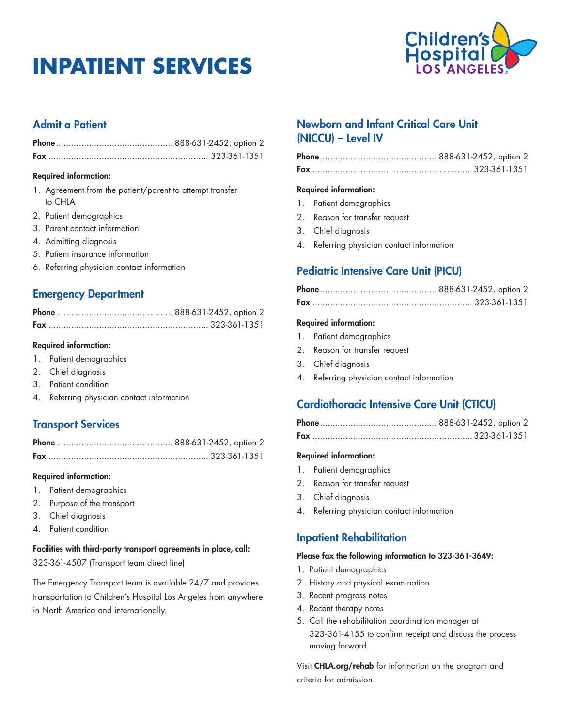# **INPATIENT SERVICES**



# Admit a Patient

### Required information:

- 1. Agreement from the patient/parent to attempt transfer to CHLA
- 2. Patient demographics
- 3. Parent contact information
- 4. Admitting diagnosis
- 5. Patient insurance information
- 6. Referring physician contact information

## Emergency Department

### Required information:

- 1. Patient demographics
- 2. Chief diagnosis
- 3. Patient condition
- 4. Referring physician contact information

## Transport Services

### Required information:

- 1. Patient demographics
- 2. Purpose of the transport
- 3. Chief diagnosis
- 4. Patient condition

### Facilities with third-party transport agreements in place, call:

323-361-4507 (Transport team direct line)

The Emergency Transport team is available 24/7 and provides transportation to Children's Hospital Los Angeles from anywhere in North America and internationally.

## Newborn and Infant Critical Care Unit (NICCU) – Level IV

### Required information:

- 1. Patient demographics
- 2. Reason for transfer request
- 3. Chief diagnosis
- 4. Referring physician contact information

# Pediatric Intensive Care Unit (PICU)

### Required information:

- 1. Patient demographics
- 2. Reason for transfer request
- 3. Chief diagnosis
- 4. Referring physician contact information

## Cardiothoracic Intensive Care Unit (CTICU)

### Required information:

- 1. Patient demographics
- 2. Reason for transfer request
- 3. Chief diagnosis
- 4. Referring physician contact information

## Inpatient Rehabilitation

### Please fax the following information to 323-361-3649:

- 1. Patient demographics
- 2. History and physical examination
- 3. Recent progress notes
- 4. Recent therapy notes
- 5. Call the rehabilitation coordination manager at 323-361-4155 to confirm receipt and discuss the process moving forward.

Visit CHLA.org/rehab for information on the program and criteria for admission.